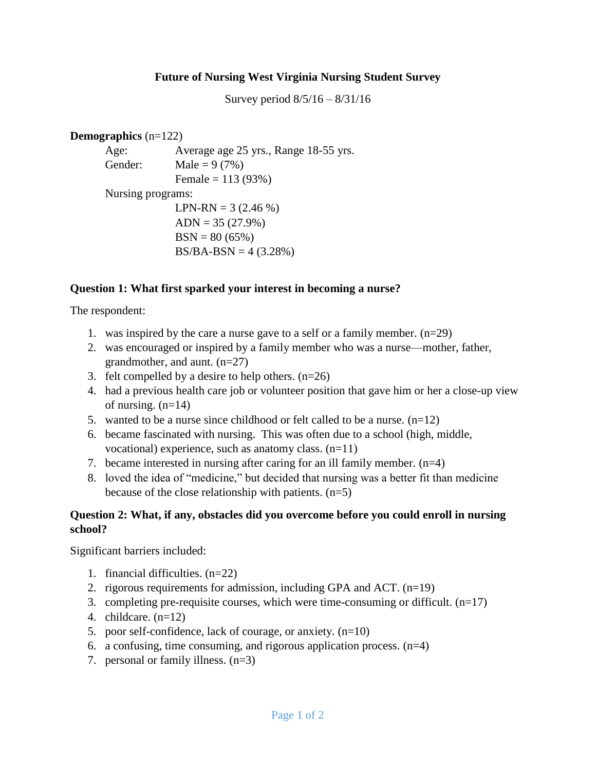### **Future of Nursing West Virginia Nursing Student Survey**

Survey period 8/5/16 – 8/31/16

#### **Demographics** (n=122)

Age: Average age 25 yrs., Range 18-55 yrs. Gender: Male =  $9(7\%)$ Female = 113 (93%) Nursing programs: LPN-RN =  $3(2.46\%)$  $ADN = 35 (27.9%)$  $BSN = 80 (65%)$  $BS/BA-BSN = 4 (3.28%)$ 

### **Question 1: What first sparked your interest in becoming a nurse?**

The respondent:

- 1. was inspired by the care a nurse gave to a self or a family member.  $(n=29)$
- 2. was encouraged or inspired by a family member who was a nurse—mother, father, grandmother, and aunt. (n=27)
- 3. felt compelled by a desire to help others.  $(n=26)$
- 4. had a previous health care job or volunteer position that gave him or her a close-up view of nursing.  $(n=14)$
- 5. wanted to be a nurse since childhood or felt called to be a nurse.  $(n=12)$
- 6. became fascinated with nursing. This was often due to a school (high, middle, vocational) experience, such as anatomy class. (n=11)
- 7. became interested in nursing after caring for an ill family member. (n=4)
- 8. loved the idea of "medicine," but decided that nursing was a better fit than medicine because of the close relationship with patients. (n=5)

### **Question 2: What, if any, obstacles did you overcome before you could enroll in nursing school?**

Significant barriers included:

- 1. financial difficulties. (n=22)
- 2. rigorous requirements for admission, including GPA and ACT. (n=19)
- 3. completing pre-requisite courses, which were time-consuming or difficult.  $(n=17)$
- 4. childcare. (n=12)
- 5. poor self-confidence, lack of courage, or anxiety.  $(n=10)$
- 6. a confusing, time consuming, and rigorous application process.  $(n=4)$
- 7. personal or family illness. (n=3)